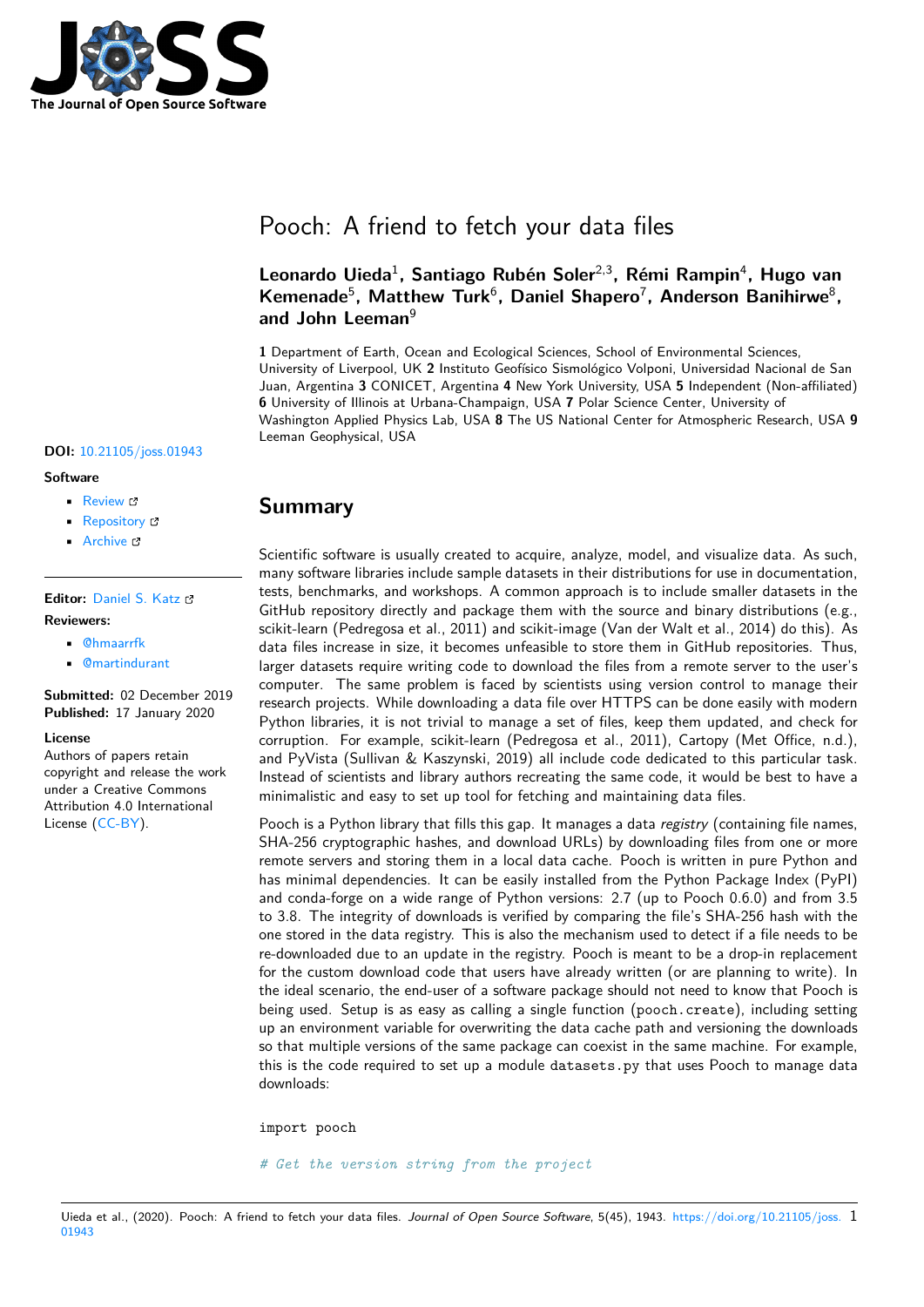

# Pooch: A friend to fetch your data files

### **Leonardo Uieda**<sup>1</sup> **, Santiago Rubén Soler**2,3**, Rémi Rampin**<sup>4</sup> **, Hugo van** Kemenade<sup>5</sup>, Matthew Turk<sup>6</sup>, Daniel Shapero<sup>7</sup>, Anderson Banihirwe<sup>8</sup>, **and John Leeman**<sup>9</sup>

**1** Department of Earth, Ocean and Ecological Sciences, School of Environmental Sciences, University of Liverpool, UK **2** Instituto Geofísico Sismológico Volponi, Universidad Nacional de San Juan, Argentina **3** CONICET, Argentina **4** New York University, USA **5** Independent (Non-affiliated) **6** University of Illinois at Urbana-Champaign, USA **7** Polar Science Center, University of Washington Applied Physics Lab, USA **8** The US National Center for Atmospheric Research, USA **9** Leeman Geophysical, USA

#### **DOI:** 10.21105/joss.01943

#### **Software**

- Review &
- [Repository](https://doi.org/10.21105/joss.01943) &
- Archive

**Editor:** [Daniel S.](https://github.com/fatiando/pooch) Katz **Revie[wers:](https://doi.org/10.5281/zenodo.3611376)**

- @hmaarrfk
- @[martindurant](http://danielskatz.org/)

**Submitted:** 02 December 2019 **Published:** [17 Ja](https://github.com/hmaarrfk)nuary 2020

#### **Licen[se](https://github.com/martindurant)**

Authors of papers retain copyright and release the work under a Creative Commons Attribution 4.0 International License (CC-BY).

### **Summary**

Scientific software is usually created to acquire, analyze, model, and visualize data. As such, many software libraries include sample datasets in their distributions for use in documentation, tests, benchmarks, and workshops. A common approach is to include smaller datasets in the GitHub repository directly and package them with the source and binary distributions (e.g., scikit-learn (Pedregosa et al., 2011) and scikit-image (Van der Walt et al., 2014) do this). As data files increase in size, it becomes unfeasible to store them in GitHub repositories. Thus, larger datasets require writing code to download the files from a remote server to the user's computer. The same problem is faced by scientists using version control to manage their research projects. While downloading a data file over HTTPS can be done easily with modern Python libraries, it is not trivial to manage a set of files, keep them updated, and check for corruption. For example, scikit-learn (Pedregosa et al., 2011), Cartopy (Met Office, n.d.), and PyVista (Sullivan & Kaszynski, 2019) all include code dedicated to this particular task. Instead of scientists and library authors recreating the same code, it would be best to have a minimalistic and easy to set up tool for fetching and maintaining data files.

Pooch is a Python library that fills this gap. It manages a data *registry* (containing file names, SHA-256 cryptographic hashes, and download URLs) by downloading files from one or more remote servers and storing them in a local data cache. Pooch is written in pure Python and has minimal dependencies. It can be easily installed from the Python Package Index (PyPI) and conda-forge on a wide range of Python versions: 2.7 (up to Pooch 0.6.0) and from 3.5 to 3.8. The integrity of downloads is verified by comparing the file's SHA-256 hash with the one stored in the data registry. This is also the mechanism used to detect if a file needs to be re-downloaded due to an update in the registry. Pooch is meant to be a drop-in replacement for the custom download code that users have already written (or are planning to write). In the ideal scenario, the end-user of a software package should not need to know that Pooch is being used. Setup is as easy as calling a single function (pooch.create), including setting up an environment variable for overwriting the data cache path and versioning the downloads so that multiple versions of the same package can coexist in the same machine. For example, this is the code required to set up a module datasets.py that uses Pooch to manage data downloads:

import pooch

*# Get the version string from the project*

Uieda et al., (2020). Pooch: A friend to fetch your data files. *Journal of Open Source Software*, 5(45), 1943. https://doi.org/10.21105/joss. 101943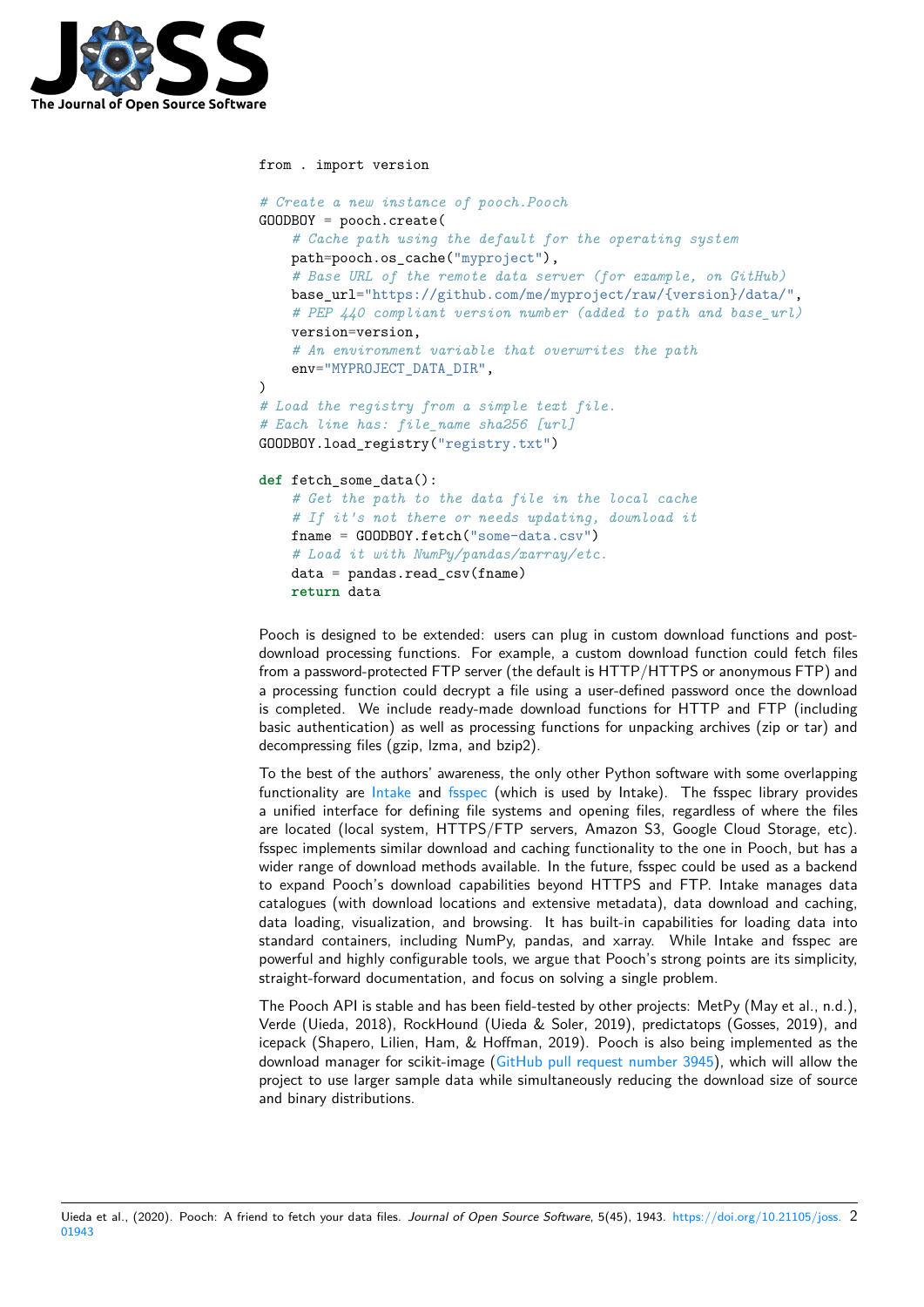

```
from . import version
# Create a new instance of pooch.Pooch
GOODBOY = pooch.create(
    # Cache path using the default for the operating system
    path=pooch.os_cache("myproject"),
    # Base URL of the remote data server (for example, on GitHub)
    base_url="https://github.com/me/myproject/raw/{version}/data/",
    # PEP 440 compliant version number (added to path and base_url)
    version=version,
    # An environment variable that overwrites the path
    env="MYPROJECT_DATA_DIR",
)
# Load the registry from a simple text file.
# Each line has: file_name sha256 [url]
GOODBOY.load_registry("registry.txt")
def fetch_some_data():
    # Get the path to the data file in the local cache
    # If it's not there or needs updating, download it
    fname = GOODBOY.fetch("some-data.csv")
    # Load it with NumPy/pandas/xarray/etc.
    data = pandas.read_csv(fname)
    return data
```
Pooch is designed to be extended: users can plug in custom download functions and postdownload processing functions. For example, a custom download function could fetch files from a password-protected FTP server (the default is HTTP/HTTPS or anonymous FTP) and a processing function could decrypt a file using a user-defined password once the download is completed. We include ready-made download functions for HTTP and FTP (including basic authentication) as well as processing functions for unpacking archives (zip or tar) and decompressing files (gzip, lzma, and bzip2).

To the best of the authors' awareness, the only other Python software with some overlapping functionality are Intake and fsspec (which is used by Intake). The fsspec library provides a unified interface for defining file systems and opening files, regardless of where the files are located (local system, HTTPS/FTP servers, Amazon S3, Google Cloud Storage, etc). fsspec implements similar download and caching functionality to the one in Pooch, but has a wider range of do[wnload](https://github.com/intake/intake) met[hods a](https://github.com/intake/filesystem_spec)vailable. In the future, fsspec could be used as a backend to expand Pooch's download capabilities beyond HTTPS and FTP. Intake manages data catalogues (with download locations and extensive metadata), data download and caching, data loading, visualization, and browsing. It has built-in capabilities for loading data into standard containers, including NumPy, pandas, and xarray. While Intake and fsspec are powerful and highly configurable tools, we argue that Pooch's strong points are its simplicity, straight-forward documentation, and focus on solving a single problem.

The Pooch API is stable and has been field-tested by other projects: MetPy (May et al., n.d.), Verde (Uieda, 2018), RockHound (Uieda & Soler, 2019), predictatops (Gosses, 2019), and icepack (Shapero, Lilien, Ham, & Hoffman, 2019). Pooch is also being implemented as the download manager for scikit-image (GitHub pull request number 3945), which will allow the project to use larger sample data while simultaneously reducing the download size of source and binary distributions.

Uieda et al., (2020). Pooch: A friend to fetch your data files. *Journal of Open Source Software*, 5(45), 1943. https://doi.org/10.21105/joss. 201943